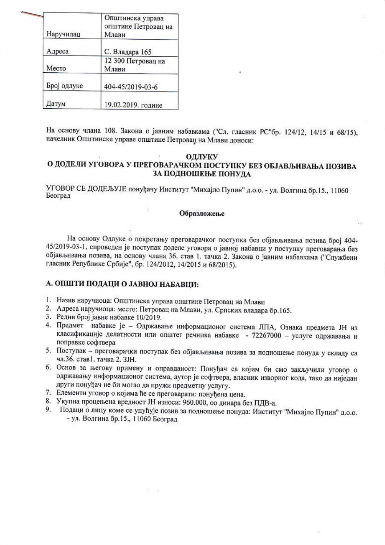| Наручилац   | Општинска управа<br>општине Петровац на<br>Млави |  |  |
|-------------|--------------------------------------------------|--|--|
| Адреса      | С. Владара 165                                   |  |  |
| Место       | 12 300 Петровац на<br>Млави                      |  |  |
| Број одлуке | 404-45/2019-03-6                                 |  |  |
| Датум       | 19.02.2019. године                               |  |  |

На основу члана 108. Закона о јавним набавкама ("Сл. гласник РС"бр. 124/12, 14/15 и 68/15), начелник Општинске управе општине Петровац на Млави доноси:

## ОДЛУКУ

## О ДОДЕЛИ УГОВОРА У ПРЕГОВАРАЧКОМ ПОСТУПКУ БЕЗ ОБЈАВЉИВАЊА ПОЗИВА ЗА ПОДНОШЕЊЕ ПОНУДА

УГОВОР СЕ ДОДЕЉУЈЕ понуђачу Институт "Михајло Пупин" д.о.о. - ул. Волгина бр.15., 11060 Београд

## Образложење

На основу Одлуке о покретању преговарачког поступка без објављивања позива број 404-45/2019-03-1, спроведен је поступак доделе уговора о јавној набавци у поступку преговарања без објављивања позива, на основу члана 36. став 1. тачка 2. Закона о јавним набавкама ("Службени гласник Републике Србије", бр. 124/2012, 14/2015 и 68/2015).

## А. ОПШТИ ПОДАЦИ О ЈАВНОЈ НАБАВЦИ:

- 1. Назив наручиоца: Општинска управа општине Петровац на Млави
- 2. Адреса наручиоца: место: Петровац на Млави, ул. Српских владара бр.165.
- 3. Редни број јавне набавке 10/2019.
- 4. Предмет набавке је Одржавање информационог система ЛПА, Ознака предмета ЈН из класификације делатности или општег речника набавке - 72267000 - услуге одржавања и поправке софтвера
- 5. Поступак преговарачки поступак без објављивања позива за подношење понуда у складу са чл.36. став1. тачка 2. ЗЈН.
- 6. Основ за његову примену и оправданост: Понуђач са којим би смо закључили уговор о одржавању информационог система, аутор је софтвера, власник изворног кода, тако да ниједан други понуђач не би могао да пружи предметну услугу.
- 7. Елементи уговор о којима ће се преговарати: понуђена цена.
- 8. Укупна процењена вредност ЈН износи: 960.000, оо динара без ПДВ-а.
- 9. Подаци о лицу коме се упућује позив за подношење понуда: Институт "Михајло Пупин" д.о.о. - ул. Волгина бр.15., 11060 Београд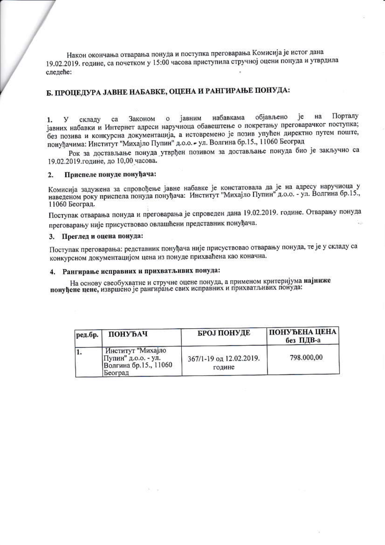Након окончања отварања понуда и поступка преговарања Комисија је истог дана 19.02.2019. године, са почетком у 15:00 часова приступила стручној оцени понуда и утврдила следеће:

# Б. ПРОЦЕДУРА ЈАВНЕ НАБАВКЕ, ОЦЕНА И РАНГИРАЊЕ ПОНУДА:

објављено ie на Порталу набавкама јавним Законом  $\Omega$  $1.$ y складу ca јавних набавки и Интернет адреси наручиоца обавештење о покретању преговарачког поступка; без позива и конкурсна документација, а истовремено је позив упућен директно путем поште, понуђачима: Институт "Михајло Пупин" д.о.о. - ул. Волгина бр.15., 11060 Београд

Рок за достављање понуда утврђен позивом за достављање понуда био је закључно са 19.02.2019.године, до 10,00 часова.

#### Приспеле понуде понуђача:  $2.$

Комисија задужена за спровођење јавне набавке је констатовала да је на адресу наручиоца у наведеном року приспела понуда понуђача: Институт "Михајло Пупин" д.о.о. - ул. Волгина бр.15., 11060 Београд.

Поступак отварања понуда и преговарања је спроведен дана 19.02.2019. године. Отварању понуда преговарању није присуствовао овлашћени представник понуђача.

### 3. Преглед и оцена понуда:

Поступак преговарања: редставник понуђача није присуствовао отварању понуда, те је у складу са конкурсном документацијом цена из понуде прихваћена као коначна.

## 4. Рангирање исправних и прихватљивих понуда:

На основу свеобухватне и стручне оцене понуда, а применом критеријума најниже понуђене цене, извршено је рангирање свих исправних и прихватљивих понуда:

| ред.бр. | ПОНУЂАЧ                                                                      | <b>БРОЈ ПОНУДЕ</b>                | ПОНУЂЕНА ЦЕНА<br>без ПДВ-а |
|---------|------------------------------------------------------------------------------|-----------------------------------|----------------------------|
| 11.     | Институт "Михајло<br>Пупин" д.о.о. - ул.<br>Волгина бр.15., 11060<br>Београд | 367/1-19 од 12.02.2019.<br>године | 798.000,00                 |